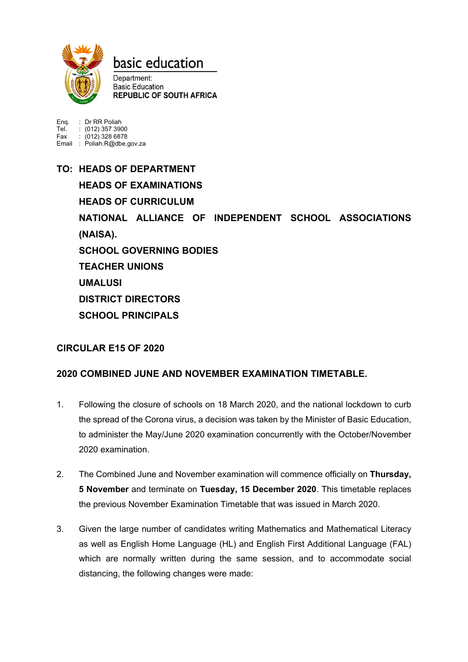

## basic education

Department: **Basic Education REPUBLIC OF SOUTH AFRICA** 

Enq. : Dr RR Poliah Tel. : (012) 357 3900 Fax : (012) 328 6878 Email : Poliah.R@dbe.gov.za

**TO: HEADS OF DEPARTMENT HEADS OF EXAMINATIONS HEADS OF CURRICULUM NATIONAL ALLIANCE OF INDEPENDENT SCHOOL ASSOCIATIONS (NAISA). SCHOOL GOVERNING BODIES TEACHER UNIONS UMALUSI DISTRICT DIRECTORS SCHOOL PRINCIPALS**

## **CIRCULAR E15 OF 2020**

## **2020 COMBINED JUNE AND NOVEMBER EXAMINATION TIMETABLE.**

- 1. Following the closure of schools on 18 March 2020, and the national lockdown to curb the spread of the Corona virus, a decision was taken by the Minister of Basic Education, to administer the May/June 2020 examination concurrently with the October/November 2020 examination.
- 2. The Combined June and November examination will commence officially on **Thursday, 5 November** and terminate on **Tuesday, 15 December 2020**. This timetable replaces the previous November Examination Timetable that was issued in March 2020.
- 3. Given the large number of candidates writing Mathematics and Mathematical Literacy as well as English Home Language (HL) and English First Additional Language (FAL) which are normally written during the same session, and to accommodate social distancing, the following changes were made: